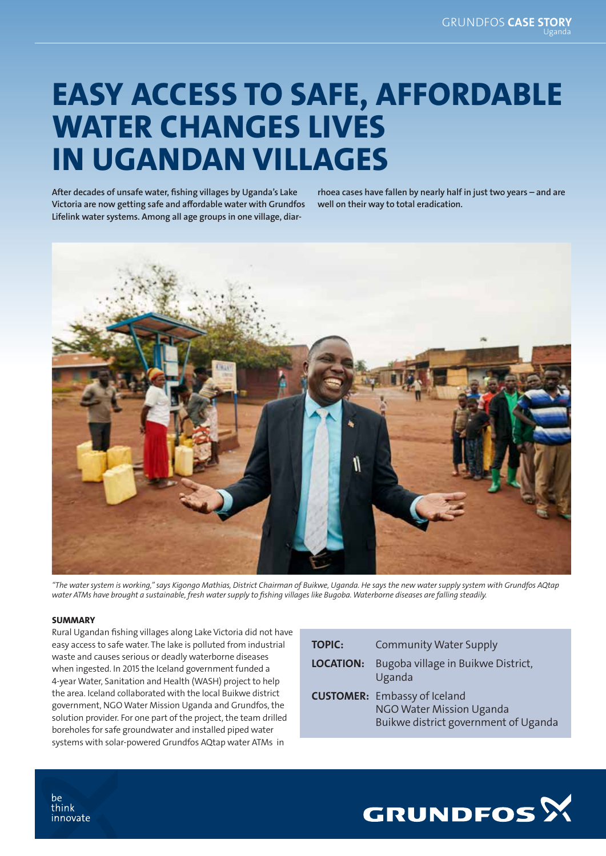# EASY ACCESS TO SAFE, AFFORDABLE WATER CHANGES LIVES IN UGANDAN VILLAGES

After decades of unsafe water, fishing villages by Uganda's Lake Victoria are now getting safe and affordable water with Grundfos Lifelink water systems. Among all age groups in one village, diarrhoea cases have fallen by nearly half in just two years – and are well on their way to total eradication.



*"The water system is working," says Kigongo Mathias, District Chairman of Buikwe, Uganda. He says the new water supply system with Grundfos AQtap water ATMs have brought a sustainable, fresh water supply to fishing villages like Bugoba. Waterborne diseases are falling steadily.*

## **SUMMARY**

Rural Ugandan fishing villages along Lake Victoria did not have easy access to safe water. The lake is polluted from industrial waste and causes serious or deadly waterborne diseases when ingested. In 2015 the Iceland government funded a 4-year Water, Sanitation and Health (WASH) project to help the area. Iceland collaborated with the local Buikwe district government, NGO Water Mission Uganda and Grundfos, the solution provider. For one part of the project, the team drilled boreholes for safe groundwater and installed piped water systems with solar-powered Grundfos AQtap water ATMs in

| <b>TOPIC:</b>    | <b>Community Water Supply</b>                                                                           |
|------------------|---------------------------------------------------------------------------------------------------------|
| <b>LOCATION:</b> | Bugoba village in Buikwe District,<br>Uganda                                                            |
|                  | <b>CUSTOMER:</b> Embassy of Iceland<br>NGO Water Mission Uganda<br>Buikwe district government of Uganda |



be think innovate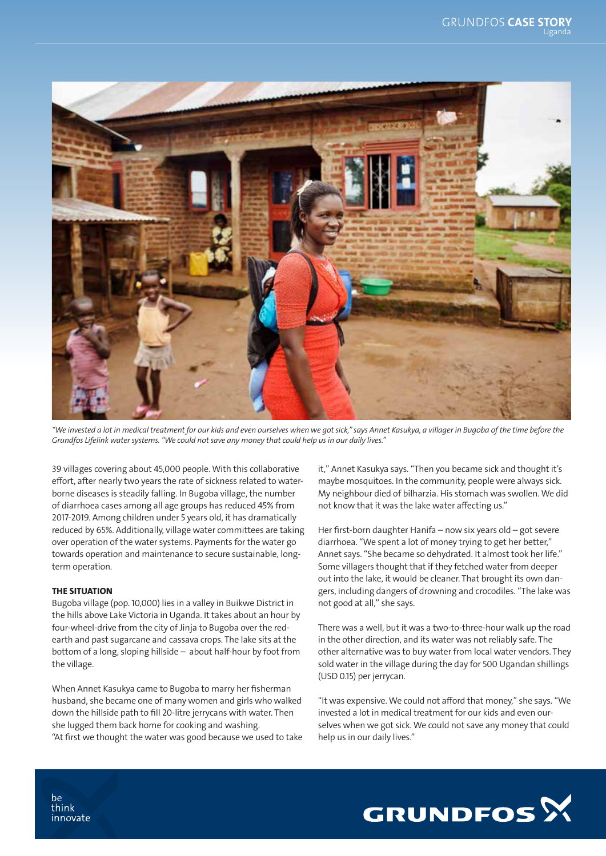

*"We invested a lot in medical treatment for our kids and even ourselves when we got sick," says Annet Kasukya, a villager in Bugoba of the time before the Grundfos Lifelink water systems. "We could not save any money that could help us in our daily lives."*

39 villages covering about 45,000 people. With this collaborative effort, after nearly two years the rate of sickness related to waterborne diseases is steadily falling. In Bugoba village, the number of diarrhoea cases among all age groups has reduced 45% from 2017-2019. Among children under 5 years old, it has dramatically reduced by 65%. Additionally, village water committees are taking over operation of the water systems. Payments for the water go towards operation and maintenance to secure sustainable, longterm operation.

# THE SITUATION

Bugoba village (pop. 10,000) lies in a valley in Buikwe District in the hills above Lake Victoria in Uganda. It takes about an hour by four-wheel-drive from the city of Jinja to Bugoba over the redearth and past sugarcane and cassava crops. The lake sits at the bottom of a long, sloping hillside – about half-hour by foot from the village.

When Annet Kasukya came to Bugoba to marry her fisherman husband, she became one of many women and girls who walked down the hillside path to fill 20-litre jerrycans with water. Then she lugged them back home for cooking and washing. "At first we thought the water was good because we used to take it," Annet Kasukya says. "Then you became sick and thought it's maybe mosquitoes. In the community, people were always sick. My neighbour died of bilharzia. His stomach was swollen. We did not know that it was the lake water affecting us."

Her first-born daughter Hanifa – now six years old – got severe diarrhoea. "We spent a lot of money trying to get her better," Annet says. "She became so dehydrated. It almost took her life." Some villagers thought that if they fetched water from deeper out into the lake, it would be cleaner. That brought its own dangers, including dangers of drowning and crocodiles. "The lake was not good at all," she says.

There was a well, but it was a two-to-three-hour walk up the road in the other direction, and its water was not reliably safe. The other alternative was to buy water from local water vendors. They sold water in the village during the day for 500 Ugandan shillings (USD 0.15) per jerrycan.

"It was expensive. We could not afford that money," she says. "We invested a lot in medical treatment for our kids and even ourselves when we got sick. We could not save any money that could help us in our daily lives."



 $he$ think innovate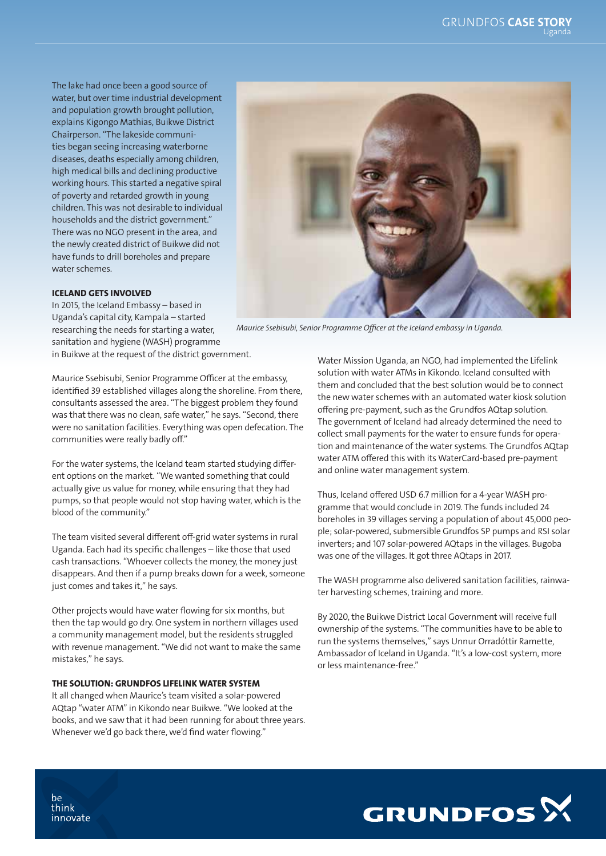The lake had once been a good source of water, but over time industrial development and population growth brought pollution, explains Kigongo Mathias, Buikwe District Chairperson. "The lakeside communities began seeing increasing waterborne diseases, deaths especially among children, high medical bills and declining productive working hours. This started a negative spiral of poverty and retarded growth in young children. This was not desirable to individual households and the district government." There was no NGO present in the area, and the newly created district of Buikwe did not have funds to drill boreholes and prepare water schemes.

#### ICELAND GETS INVOLVED

In 2015, the Iceland Embassy – based in Uganda's capital city, Kampala – started researching the needs for starting a water, sanitation and hygiene (WASH) programme in Buikwe at the request of the district government.

Maurice Ssebisubi, Senior Programme Officer at the embassy, identified 39 established villages along the shoreline. From there, consultants assessed the area. "The biggest problem they found was that there was no clean, safe water," he says. "Second, there were no sanitation facilities. Everything was open defecation. The communities were really badly off."

For the water systems, the Iceland team started studying different options on the market. "We wanted something that could actually give us value for money, while ensuring that they had pumps, so that people would not stop having water, which is the blood of the community."

The team visited several different off-grid water systems in rural Uganda. Each had its specific challenges – like those that used cash transactions. "Whoever collects the money, the money just disappears. And then if a pump breaks down for a week, someone just comes and takes it," he says.

Other projects would have water flowing for six months, but then the tap would go dry. One system in northern villages used a community management model, but the residents struggled with revenue management. "We did not want to make the same mistakes," he says.

# THE SOLUTION: GRUNDFOS LIFELINK WATER SYSTEM

It all changed when Maurice's team visited a solar-powered AQtap "water ATM" in Kikondo near Buikwe. "We looked at the books, and we saw that it had been running for about three years. Whenever we'd go back there, we'd find water flowing."



*Maurice Ssebisubi, Senior Programme Officer at the Iceland embassy in Uganda.* 

Water Mission Uganda, an NGO, had implemented the Lifelink solution with water ATMs in Kikondo. Iceland consulted with them and concluded that the best solution would be to connect the new water schemes with an automated water kiosk solution offering pre-payment, such as the Grundfos AQtap solution. The government of Iceland had already determined the need to collect small payments for the water to ensure funds for operation and maintenance of the water systems. The Grundfos AQtap water ATM offered this with its WaterCard-based pre-payment and online water management system.

Thus, Iceland offered USD 6.7 million for a 4-year WASH programme that would conclude in 2019. The funds included 24 boreholes in 39 villages serving a population of about 45,000 people; solar-powered, submersible Grundfos SP pumps and RSI solar inverters; and 107 solar-powered AQtaps in the villages. Bugoba was one of the villages. It got three AQtaps in 2017.

The WASH programme also delivered sanitation facilities, rainwater harvesting schemes, training and more.

By 2020, the Buikwe District Local Government will receive full ownership of the systems. "The communities have to be able to run the systems themselves," says Unnur Orradóttir Ramette, Ambassador of Iceland in Uganda. "It's a low-cost system, more or less maintenance-free."



 $he$ think innovate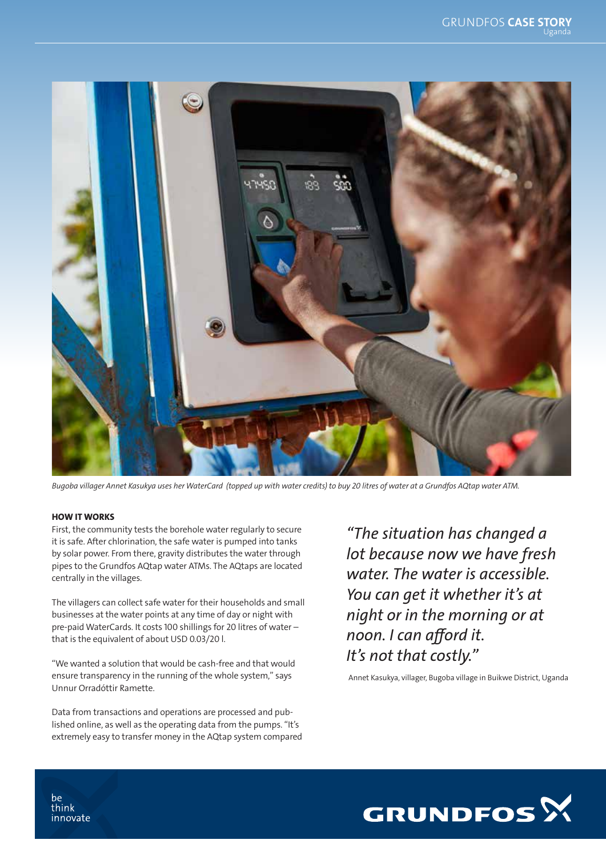

*Bugoba villager Annet Kasukya uses her WaterCard (topped up with water credits) to buy 20 litres of water at a Grundfos AQtap water ATM.* 

## HOW IT WORKS

First, the community tests the borehole water regularly to secure it is safe. After chlorination, the safe water is pumped into tanks by solar power. From there, gravity distributes the water through pipes to the Grundfos AQtap water ATMs. The AQtaps are located centrally in the villages.

The villagers can collect safe water for their households and small businesses at the water points at any time of day or night with pre-paid WaterCards. It costs 100 shillings for 20 litres of water – that is the equivalent of about USD 0.03/20 l.

"We wanted a solution that would be cash-free and that would ensure transparency in the running of the whole system," says Unnur Orradóttir Ramette.

Data from transactions and operations are processed and published online, as well as the operating data from the pumps. "It's extremely easy to transfer money in the AQtap system compared

*"The situation has changed a lot because now we have fresh water. The water is accessible. You can get it whether it's at night or in the morning or at noon. I can afford it. It's not that costly."*

Annet Kasukya, villager, Bugoba village in Buikwe District, Uganda



be think innovate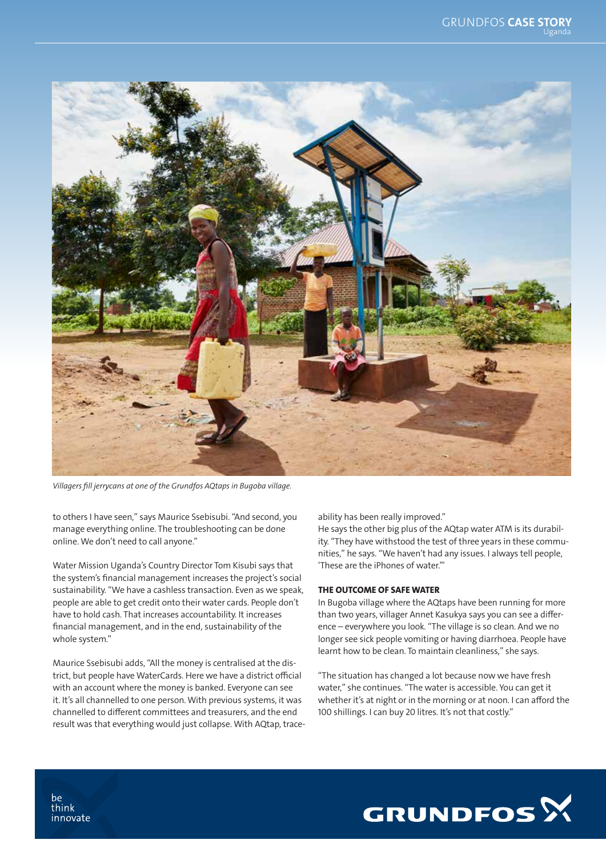

*Villagers fill jerrycans at one of the Grundfos AQtaps in Bugoba village.* 

to others I have seen," says Maurice Ssebisubi. "And second, you manage everything online. The troubleshooting can be done online. We don't need to call anyone."

Water Mission Uganda's Country Director Tom Kisubi says that the system's financial management increases the project's social sustainability. "We have a cashless transaction. Even as we speak, people are able to get credit onto their water cards. People don't have to hold cash. That increases accountability. It increases financial management, and in the end, sustainability of the whole system."

Maurice Ssebisubi adds, "All the money is centralised at the district, but people have WaterCards. Here we have a district official with an account where the money is banked. Everyone can see it. It's all channelled to one person. With previous systems, it was channelled to different committees and treasurers, and the end result was that everything would just collapse. With AQtap, traceability has been really improved."

He says the other big plus of the AQtap water ATM is its durability. "They have withstood the test of three years in these communities," he says. "We haven't had any issues. I always tell people, 'These are the iPhones of water.'"

## THE OUTCOME OF SAFE WATER

In Bugoba village where the AQtaps have been running for more than two years, villager Annet Kasukya says you can see a difference – everywhere you look. "The village is so clean. And we no longer see sick people vomiting or having diarrhoea. People have learnt how to be clean. To maintain cleanliness," she says.

"The situation has changed a lot because now we have fresh water," she continues. "The water is accessible. You can get it whether it's at night or in the morning or at noon. I can afford the 100 shillings. I can buy 20 litres. It's not that costly."



 $he$ think innovate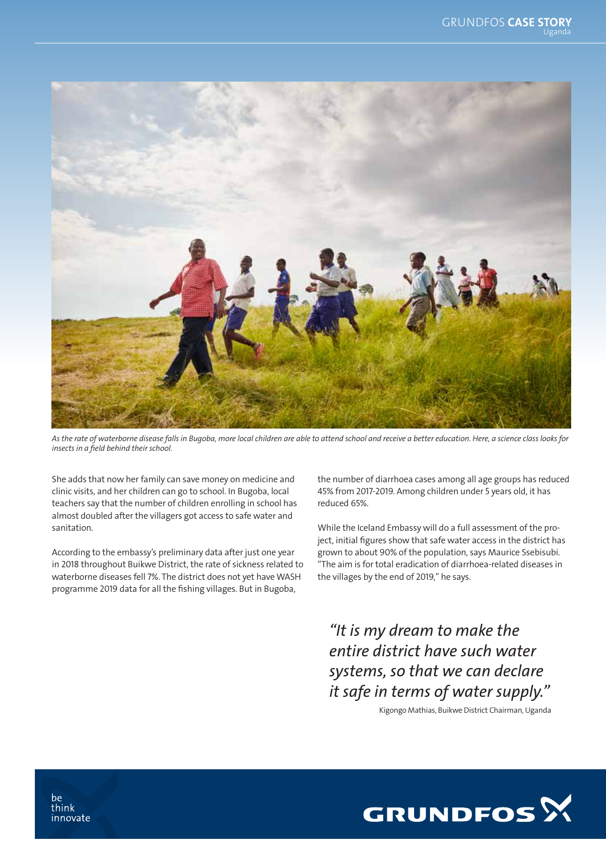

*As the rate of waterborne disease falls in Bugoba, more local children are able to attend school and receive a better education. Here, a science class looks for insects in a field behind their school.*

She adds that now her family can save money on medicine and clinic visits, and her children can go to school. In Bugoba, local teachers say that the number of children enrolling in school has almost doubled after the villagers got access to safe water and sanitation.

According to the embassy's preliminary data after just one year in 2018 throughout Buikwe District, the rate of sickness related to waterborne diseases fell 7%. The district does not yet have WASH programme 2019 data for all the fishing villages. But in Bugoba,

the number of diarrhoea cases among all age groups has reduced 45% from 2017-2019. Among children under 5 years old, it has reduced 65%.

While the Iceland Embassy will do a full assessment of the project, initial figures show that safe water access in the district has grown to about 90% of the population, says Maurice Ssebisubi. "The aim is for total eradication of diarrhoea-related diseases in the villages by the end of 2019," he says.

*"It is my dream to make the entire district have such water systems, so that we can declare it safe in terms of water supply."*

Kigongo Mathias, Buikwe District Chairman, Uganda



be think innovate